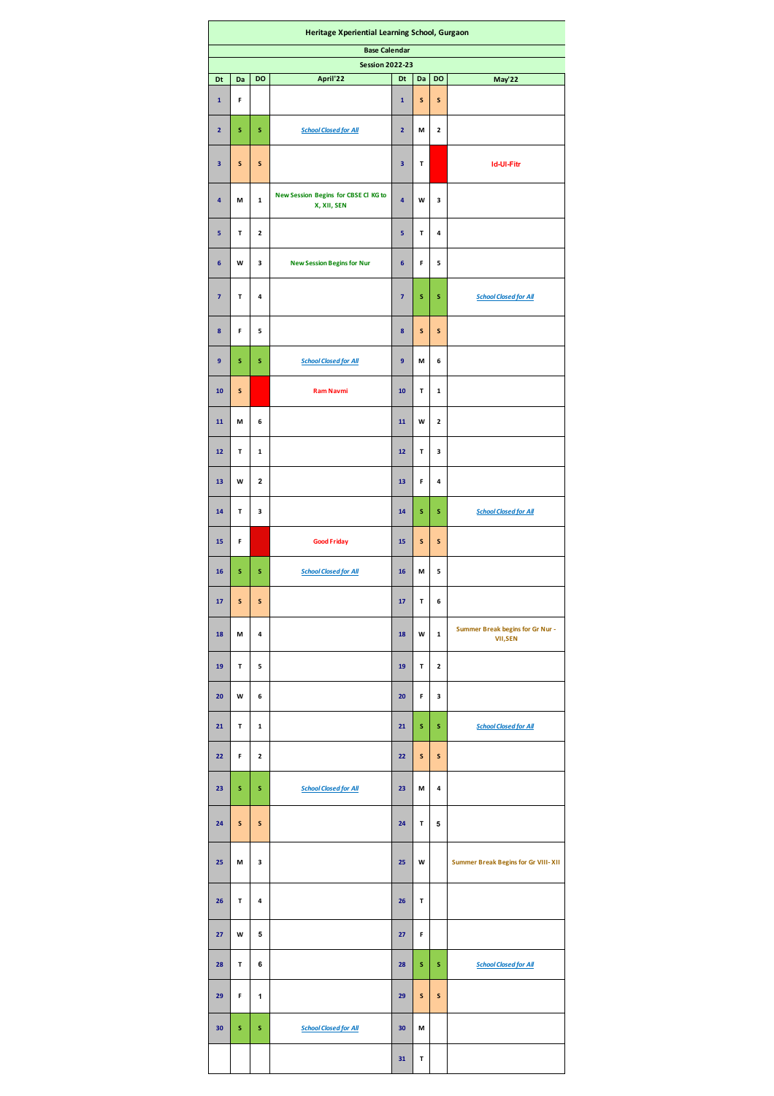| Heritage Xperiential Learning School, Gurgaon  |    |              |                                                     |                         |           |              |                                            |  |  |  |  |  |  |
|------------------------------------------------|----|--------------|-----------------------------------------------------|-------------------------|-----------|--------------|--------------------------------------------|--|--|--|--|--|--|
| <b>Base Calendar</b><br><b>Session 2022-23</b> |    |              |                                                     |                         |           |              |                                            |  |  |  |  |  |  |
| Dt                                             | Da | DO           | April'22                                            | Dt                      | Da        | DO           | May'22                                     |  |  |  |  |  |  |
| $\mathbf 1$                                    | F  |              |                                                     | $\mathbf{1}$            | S         | $\mathsf{s}$ |                                            |  |  |  |  |  |  |
| $\overline{\mathbf{2}}$                        | s  | s            | <b>School Closed for All</b>                        | $\overline{\mathbf{2}}$ | М         | $\mathbf 2$  |                                            |  |  |  |  |  |  |
| 3                                              | S  | S            |                                                     | 3                       | Т         |              | <b>Id-Ul-Fitr</b>                          |  |  |  |  |  |  |
| 4                                              | М  | $\mathbf 1$  | New Session Begins for CBSE Cl KG to<br>X, XII, SEN | 4                       | W         | 3            |                                            |  |  |  |  |  |  |
| 5                                              | т  | 2            |                                                     | 5                       | T         | 4            |                                            |  |  |  |  |  |  |
| $6\phantom{1}$                                 | W  | 3            | <b>New Session Begins for Nur</b>                   | 6                       | F         | 5            |                                            |  |  |  |  |  |  |
| $\overline{7}$                                 | T  | 4            |                                                     | $\overline{7}$          | S         | s            | <b>School Closed for All</b>               |  |  |  |  |  |  |
| 8                                              | F  | 5            |                                                     | 8                       | S         | $\mathsf{s}$ |                                            |  |  |  |  |  |  |
| 9                                              | s  | s            | <b>School Closed for All</b>                        | 9                       | M         | 6            |                                            |  |  |  |  |  |  |
| ${\bf 10}$                                     | S  |              | <b>Ram Navmi</b>                                    | ${\bf 10}$              | T         | $\mathbf 1$  |                                            |  |  |  |  |  |  |
| 11                                             | M  | 6            |                                                     | 11                      | W         | $\mathbf 2$  |                                            |  |  |  |  |  |  |
| $12$                                           | T  | $\mathbf 1$  |                                                     | $12\,$                  | T         | 3            |                                            |  |  |  |  |  |  |
| 13                                             | W  | $\mathbf 2$  |                                                     | 13                      | F         | 4            |                                            |  |  |  |  |  |  |
| 14                                             | T  | 3            |                                                     | 14                      | S         | s            | <b>School Closed for All</b>               |  |  |  |  |  |  |
| 15                                             | F  |              | <b>Good Friday</b>                                  | 15                      | S         | ${\sf s}$    |                                            |  |  |  |  |  |  |
| 16                                             | s  | s            | <b>School Closed for All</b>                        | 16                      | M         | 5            |                                            |  |  |  |  |  |  |
| 17                                             | S  | S            |                                                     | 17                      | T         | 6            | Summer Break begins for Gr Nur -           |  |  |  |  |  |  |
| 18                                             | М  | 4            |                                                     | 18                      | W         | $\mathbf{1}$ | <b>VII,SEN</b>                             |  |  |  |  |  |  |
| 19                                             | T  | 5            |                                                     | 19                      | T         | $\mathbf 2$  |                                            |  |  |  |  |  |  |
| 20                                             | W  | 6            |                                                     | 20                      | F         | 3            |                                            |  |  |  |  |  |  |
| 21                                             | T  | 1            |                                                     | 21                      | S         | s            | <b>School Closed for All</b>               |  |  |  |  |  |  |
| 22                                             | F  | $\mathbf{2}$ |                                                     | 22                      | S         | S            |                                            |  |  |  |  |  |  |
| 23                                             | s  | s            | <b>School Closed for All</b>                        | 23                      | M         | 4            |                                            |  |  |  |  |  |  |
| 24                                             | S  | S            |                                                     | 24                      | т         | 5            |                                            |  |  |  |  |  |  |
| 25                                             | М  | з            |                                                     | 25                      | W         |              | <b>Summer Break Begins for Gr VIII-XII</b> |  |  |  |  |  |  |
| 26                                             | Т  | 4            |                                                     | 26                      | Т         |              |                                            |  |  |  |  |  |  |
| 27                                             | W  | 5            |                                                     | 27                      | F         |              |                                            |  |  |  |  |  |  |
| 28                                             | T  | 6            |                                                     | 28                      | s         | s            | <b>School Closed for All</b>               |  |  |  |  |  |  |
| 29                                             | F  | 1            |                                                     | 29                      | ${\sf s}$ | ${\sf s}$    |                                            |  |  |  |  |  |  |
| 30                                             | s  | s            | <b>School Closed for All</b>                        | 30                      | M         |              |                                            |  |  |  |  |  |  |
|                                                |    |              |                                                     | 31                      | T         |              |                                            |  |  |  |  |  |  |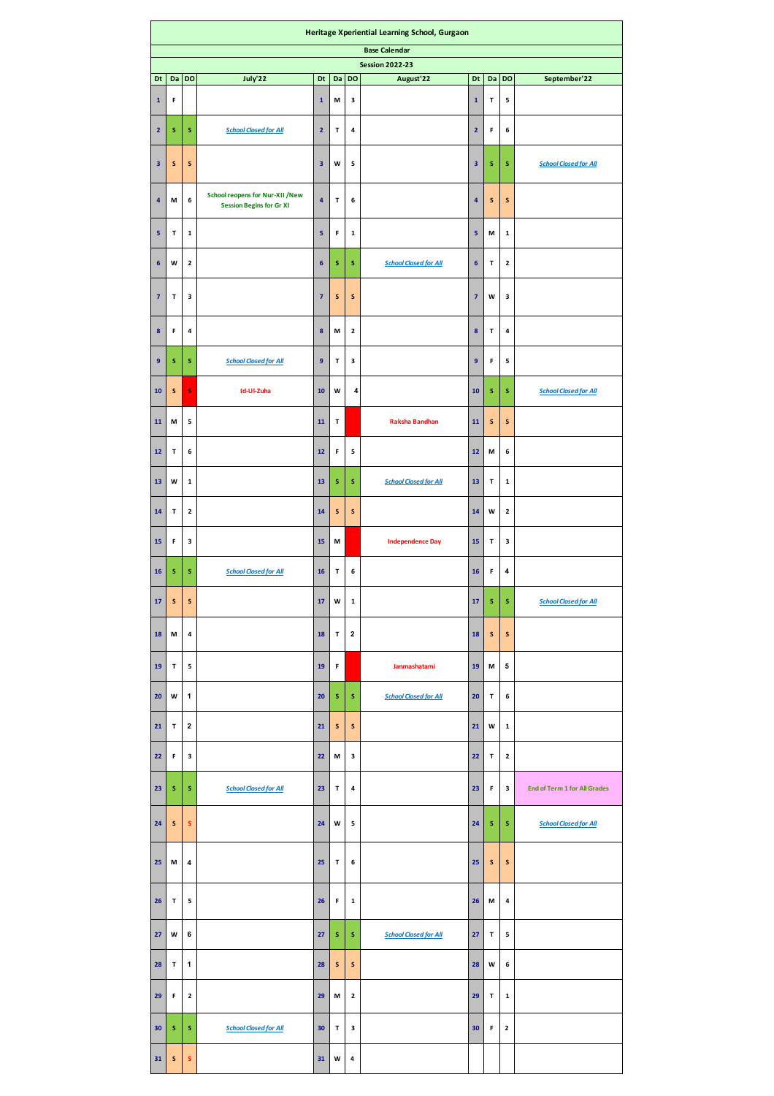|                         | Heritage Xperiential Learning School, Gurgaon                                                                  |              |                                                                           |                         |           |                         |                              |                         |        |              |                                     |  |
|-------------------------|----------------------------------------------------------------------------------------------------------------|--------------|---------------------------------------------------------------------------|-------------------------|-----------|-------------------------|------------------------------|-------------------------|--------|--------------|-------------------------------------|--|
| <b>Base Calendar</b>    |                                                                                                                |              |                                                                           |                         |           |                         |                              |                         |        |              |                                     |  |
| Dt                      | <b>Session 2022-23</b><br>DO<br>July'22<br>DO<br>Da<br>Dt<br>Da<br>DO<br>August'22<br>Dt<br>Da<br>September'22 |              |                                                                           |                         |           |                         |                              |                         |        |              |                                     |  |
| $\mathbf 1$             | F                                                                                                              |              |                                                                           | $\mathbf 1$             | M         | 3                       |                              | $\mathbf 1$             | Т      | 5            |                                     |  |
| $\overline{\mathbf{2}}$ | s                                                                                                              | s            | <b>School Closed for All</b>                                              | $\mathbf 2$             | T         | 4                       |                              | $\overline{\mathbf{2}}$ | F      | 6            |                                     |  |
| 3                       | S                                                                                                              | ${\sf s}$    |                                                                           | $\overline{\mathbf{3}}$ | w         | 5                       |                              | 3                       | s      | s            | <b>School Closed for All</b>        |  |
| 4                       | М                                                                                                              | 6            | <b>School reopens for Nur-XII /New</b><br><b>Session Begins for Gr XI</b> | $\overline{\mathbf{4}}$ | т         | 6                       |                              | $\overline{\mathbf{4}}$ | S      | ${\sf s}$    |                                     |  |
| 5                       | т                                                                                                              | ${\bf 1}$    |                                                                           | 5                       | F         | $\mathbf 1$             |                              | 5                       | M      | $\mathbf 1$  |                                     |  |
| 6                       | W                                                                                                              | $\mathbf{2}$ |                                                                           | $\boldsymbol{6}$        | s         | s                       | <b>School Closed for All</b> | 6                       | T      | $\mathbf{2}$ |                                     |  |
| $\overline{7}$          | T                                                                                                              | 3            |                                                                           | $\overline{7}$          | ${\sf s}$ | S                       |                              | $\overline{7}$          | W      | 3            |                                     |  |
| 8                       | F                                                                                                              | 4            |                                                                           | $\bf{8}$                | М         | $\mathbf{2}$            |                              | $\pmb{8}$               | T      | 4            |                                     |  |
| $\overline{9}$          | s                                                                                                              | s            | <b>School Closed for All</b>                                              | 9                       | T         | 3                       |                              | 9                       | F      | 5            |                                     |  |
| 10                      | ${\sf s}$                                                                                                      | s            | Id-Ul-Zuha                                                                | 10                      | W         | 4                       |                              | 10                      | s      | s            | <b>School Closed for All</b>        |  |
| 11                      | M                                                                                                              | 5            |                                                                           | $11\,$                  | T         |                         | <b>Raksha Bandhan</b>        | 11                      | S      | ${\sf s}$    |                                     |  |
| 12                      | T                                                                                                              | 6            |                                                                           | 12                      | F         | 5                       |                              | 12                      | M      | 6            |                                     |  |
| 13                      | W                                                                                                              | $\mathbf{1}$ |                                                                           | 13                      | s         | s                       | <b>School Closed for All</b> | 13                      | т      | $\mathbf{1}$ |                                     |  |
| 14                      | $\mathsf T$                                                                                                    | $\mathbf 2$  |                                                                           | 14                      | ${\sf s}$ | S                       |                              | 14                      | W      | $\mathbf 2$  |                                     |  |
| 15<br>16                | F<br>s                                                                                                         | 3<br>s       | <b>School Closed for All</b>                                              | 15<br>16                | M<br>T    | 6                       | <b>Independence Day</b>      | 15<br>16                | т<br>F | 3<br>4       |                                     |  |
| $17\,$                  | $\mathsf{s}$                                                                                                   | $\sf s$      |                                                                           | 17                      | W         | $\mathbf 1$             |                              | 17                      | S      | s            | <b>School Closed for All</b>        |  |
| 18                      | М                                                                                                              | 4            |                                                                           | 18                      | т         | $\overline{\mathbf{2}}$ |                              | 18                      | s      | s            |                                     |  |
| 19                      | $\mathsf T$                                                                                                    | 5            |                                                                           | 19                      | F         |                         | Janmashatami                 | 19                      | M      | 5            |                                     |  |
| 20                      | W                                                                                                              | 1            |                                                                           | 20                      | s         | s                       | <b>School Closed for All</b> | 20                      | т      | 6            |                                     |  |
| 21                      | $\mathsf T$                                                                                                    | $\mathbf 2$  |                                                                           | 21                      | ${\sf s}$ | S                       |                              | 21                      | W      | 1            |                                     |  |
| 22                      | F                                                                                                              | з            |                                                                           | 22                      | М         | з                       |                              | 22                      | т      | $\mathbf{2}$ |                                     |  |
| 23                      | S                                                                                                              | s            | <b>School Closed for All</b>                                              | 23                      | т         | 4                       |                              | 23                      | F      | 3            | <b>End of Term 1 for All Grades</b> |  |
| 24                      | S                                                                                                              | ${\sf s}$    |                                                                           | 24                      | W         | 5                       |                              | 24                      | S      | s            | <b>School Closed for All</b>        |  |
| 25                      | М                                                                                                              | 4            |                                                                           | 25                      | т         | 6                       |                              | 25                      | S      | S            |                                     |  |
| 26                      | $\mathsf T$                                                                                                    | 5            |                                                                           | 26                      | F         | $\mathbf{1}$            |                              | 26                      | М      | 4            |                                     |  |
| 27                      | W                                                                                                              | 6            |                                                                           | 27                      | s         | s                       | <b>School Closed for All</b> | 27                      | т      | 5            |                                     |  |
| 28                      | $\mathsf T$                                                                                                    | 1            |                                                                           | 28                      | S         | S                       |                              | 28                      | W      | 6            |                                     |  |
| 29                      | F                                                                                                              | $\mathbf{2}$ |                                                                           | 29                      | М         | $\mathbf{2}$            |                              | 29                      | т      | $\mathbf 1$  |                                     |  |
| 30                      | s                                                                                                              | s            | <b>School Closed for All</b>                                              | 30                      | т         | 3                       |                              | 30                      | F      | $\mathbf 2$  |                                     |  |
| 31                      | S                                                                                                              | $\mathsf{s}$ |                                                                           | 31                      | W         | $\pmb{4}$               |                              |                         |        |              |                                     |  |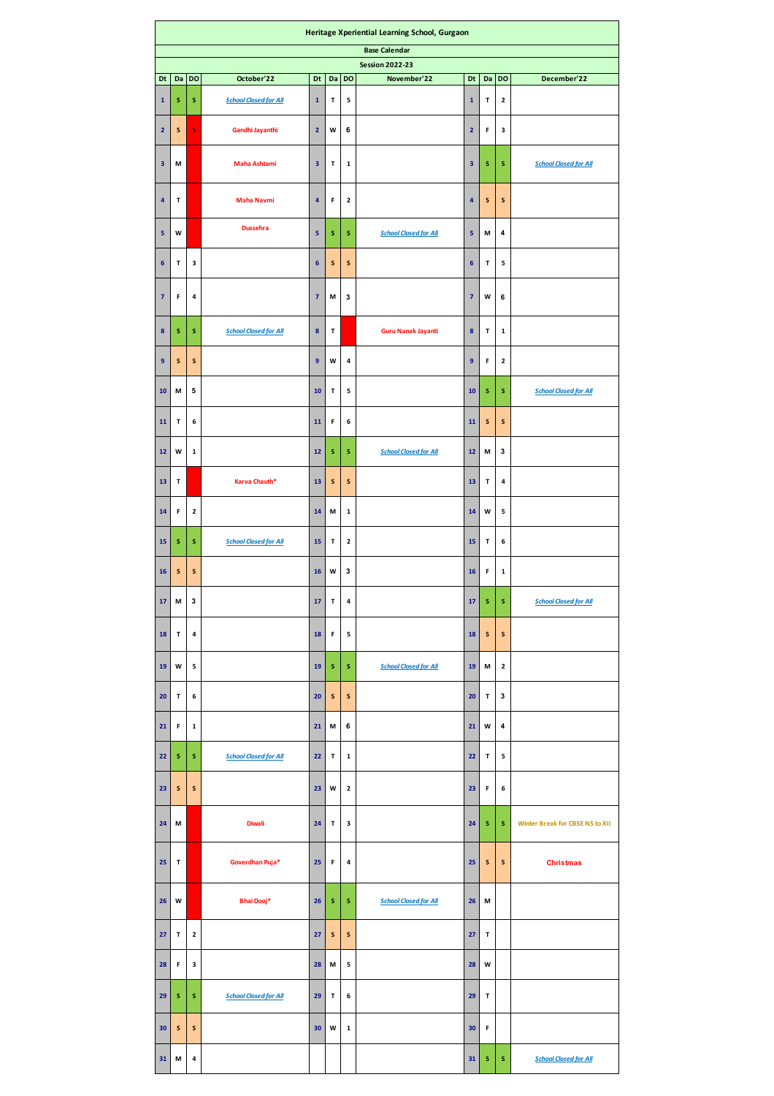| Heritage Xperiential Learning School, Gurgaon                                                                            |           |              |                              |                         |             |              |                              |                         |           |             |                                        |
|--------------------------------------------------------------------------------------------------------------------------|-----------|--------------|------------------------------|-------------------------|-------------|--------------|------------------------------|-------------------------|-----------|-------------|----------------------------------------|
| <b>Base Calendar</b>                                                                                                     |           |              |                              |                         |             |              |                              |                         |           |             |                                        |
| <b>Session 2022-23</b><br>DO<br>DO<br>Dt<br>Da<br>October'22<br>Dt<br>Da<br>DO<br>November'22<br>Dt<br>Da<br>December'22 |           |              |                              |                         |             |              |                              |                         |           |             |                                        |
| $\mathbf 1$                                                                                                              | s         | s            | <b>School Closed for All</b> | $\mathbf 1$             | T           | 5            |                              | $\mathbf 1$             | T         | 2           |                                        |
| $\overline{2}$                                                                                                           | S         | S            | Gandhi Jayanthi              | $\overline{\mathbf{2}}$ | W           | 6            |                              | $\overline{\mathbf{2}}$ | F         | 3           |                                        |
| $\overline{\mathbf{3}}$                                                                                                  | М         |              | <b>Maha Ashtami</b>          | 3                       | T           | $\mathbf 1$  |                              | $\overline{\mathbf{3}}$ | s         | S           | <b>School Closed for All</b>           |
| 4                                                                                                                        | т         |              | <b>Maha Navmi</b>            | $\overline{\mathbf{4}}$ | F           | $\mathbf 2$  |                              | 4                       | S         | S           |                                        |
| 5                                                                                                                        | w         |              | <b>Dussehra</b>              | 5                       | s           | s            | <b>School Closed for All</b> | 5                       | M         | 4           |                                        |
| $6\phantom{1}6$                                                                                                          | T         | 3            |                              | $\boldsymbol{6}$        | ${\sf s}$   | ${\sf s}$    |                              | 6                       | T         | 5           |                                        |
| $\overline{7}$                                                                                                           | F         | 4            |                              | $\overline{\mathbf{z}}$ | M           | 3            |                              | $\overline{7}$          | W         | 6           |                                        |
| $\boldsymbol{8}$                                                                                                         | s         | s            | <b>School Closed for All</b> | $\pmb{8}$               | T           |              | <b>Guru Nanak Jayanti</b>    | 8                       | T         | $\mathbf 1$ |                                        |
| $\overline{9}$                                                                                                           | $\sf s$   | ${\sf s}$    |                              | 9                       | W           | 4            |                              | 9                       | F         | 2           |                                        |
| 10                                                                                                                       | М         | 5            |                              | 10                      | T           | 5            |                              | 10                      | s         | s           | <b>School Closed for All</b>           |
| 11                                                                                                                       | Т         | 6            |                              | 11                      | F           | 6            |                              | ${\bf 11}$              | ${\sf s}$ | S           |                                        |
| 12                                                                                                                       | W         | $\mathbf 1$  |                              | $12\,$                  | s           | s            | <b>School Closed for All</b> | 12                      | M         | 3           |                                        |
| 13                                                                                                                       | Т         |              | Karva Chauth*                | 13                      | ${\sf s}$   | ${\sf s}$    |                              | 13                      | T         | 4           |                                        |
| 14                                                                                                                       | F         | $\mathbf{2}$ |                              | 14                      | M           | $\mathbf 1$  |                              | 14                      | W         | 5           |                                        |
| 15                                                                                                                       | s         | s            | <b>School Closed for All</b> | 15                      | т           | $\mathbf 2$  |                              | 15                      | т         | 6           |                                        |
| 16                                                                                                                       | ${\sf s}$ | ${\sf s}$    |                              | 16                      | W           | 3            |                              | 16                      | F         | $\mathbf 1$ |                                        |
| 17                                                                                                                       | M         | 3            |                              | 17                      | T           | 4            |                              | 17                      | $\sf s$   | s           | <b>School Closed for All</b>           |
| ${\bf 18}$                                                                                                               | T         | 4            |                              | 18                      | F           | 5            |                              | 18                      | ${\sf s}$ | ${\sf s}$   |                                        |
| 19                                                                                                                       | W         | 5            |                              | 19                      | s           | s            | <b>School Closed for All</b> | 19                      | M         | 2           |                                        |
| 20                                                                                                                       | T         | 6            |                              | 20                      | ${\sf s}$   | S            |                              | 20                      | T         | 3           |                                        |
| 21                                                                                                                       | F         | $\mathbf{1}$ |                              | 21                      | М           | 6            |                              | 21                      | W         | 4           |                                        |
| 22                                                                                                                       | s         | s            | <b>School Closed for All</b> | 22                      | т           | ${\bf 1}$    |                              | 22                      | т         | 5           |                                        |
| 23                                                                                                                       | ${\sf s}$ | ${\sf s}$    |                              | 23                      | W           | $\mathbf{2}$ |                              | 23                      | F         | 6           |                                        |
| 24                                                                                                                       | М         |              | <b>Diwali</b>                | 24                      | $\mathsf T$ | 3            |                              | 24                      | s         | s           | <b>Winter Break for CBSE NS to XII</b> |
| 25                                                                                                                       | т         |              | Goverdhan Puja*              | 25                      | F           | 4            |                              | 25                      | ${\sf s}$ | S           | <b>Christmas</b>                       |
| 26                                                                                                                       | W         |              | Bhai Dooj*                   | 26                      | s           | s            | <b>School Closed for All</b> | 26                      | М         |             |                                        |
| 27                                                                                                                       | т         | $\mathbf{2}$ |                              | 27                      | S           | S            |                              | 27                      | T         |             |                                        |
| 28                                                                                                                       | F         | 3            |                              | 28                      | М           | 5            |                              | 28                      | W         |             |                                        |
| 29                                                                                                                       | s         | s            | <b>School Closed for All</b> | 29                      | т           | 6            |                              | 29                      | T         |             |                                        |
| 30                                                                                                                       | ${\sf s}$ | ${\sf s}$    |                              | 30                      | W           | $\mathbf 1$  |                              | 30                      | F         |             |                                        |
| 31                                                                                                                       | М         | 4            |                              |                         |             |              |                              | 31                      | s         | s           | <b>School Closed for All</b>           |